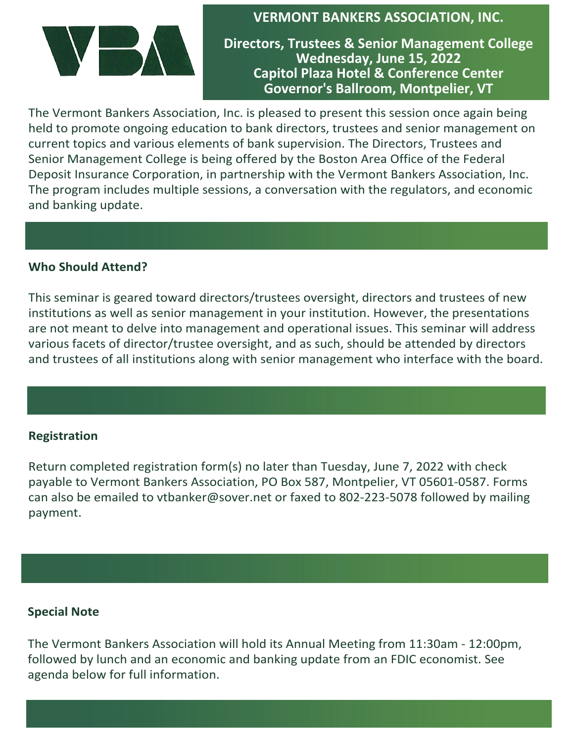

**VERMONT BANKERS ASSOCIATION, INC.** 

**Directors, Trustees & Senior Management College Wednesday, June 15, 2022 Capitol Plaza Hotel & Conference Center Governor's Ballroom, Montpelier, VT**

The Vermont Bankers Association, Inc. is pleased to present this session once again being held to promote ongoing education to bank directors, trustees and senior management on current topics and various elements of bank supervision. The Directors, Trustees and Senior Management College is being offered by the Boston Area Office of the Federal Deposit Insurance Corporation, in partnership with the Vermont Bankers Association, Inc. The program includes multiple sessions, a conversation with the regulators, and economic and banking update.

### **Who Should Attend?**

This seminar is geared toward directors/trustees oversight, directors and trustees of new institutions as well as senior management in your institution. However, the presentations are not meant to delve into management and operational issues. This seminar will address various facets of director/trustee oversight, and as such, should be attended by directors and trustees of all institutions along with senior management who interface with the board.

### **Registration**

Return completed registration form(s) no later than Tuesday, June 7, 2022 with check payable to Vermont Bankers Association, PO Box 587, Montpelier, VT 05601-0587. Forms can also be emailed to vtbanker@sover.net or faxed to 802-223-5078 followed by mailing payment.

### **Special Note**

The Vermont Bankers Association will hold its Annual Meeting from 11:30am - 12:00pm, followed by lunch and an economic and banking update from an FDIC economist. See agenda below for full information.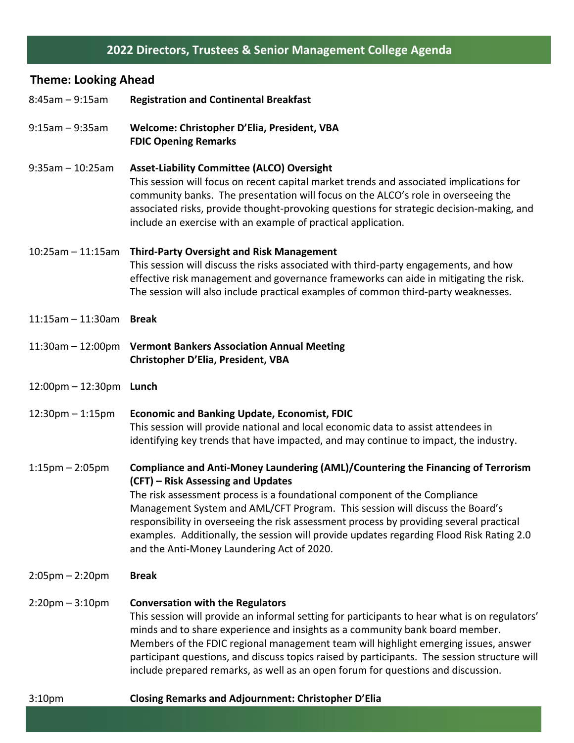# **2022 Directors, Trustees & Senior Management College Agenda**

## **Theme: Looking Ahead**

| $8:45am - 9:15am$       | <b>Registration and Continental Breakfast</b>                                                                                                                                                                                                                                                                                                                                                                                                                                                                            |  |  |
|-------------------------|--------------------------------------------------------------------------------------------------------------------------------------------------------------------------------------------------------------------------------------------------------------------------------------------------------------------------------------------------------------------------------------------------------------------------------------------------------------------------------------------------------------------------|--|--|
| $9:15$ am - $9:35$ am   | Welcome: Christopher D'Elia, President, VBA<br><b>FDIC Opening Remarks</b>                                                                                                                                                                                                                                                                                                                                                                                                                                               |  |  |
| $9:35am - 10:25am$      | <b>Asset-Liability Committee (ALCO) Oversight</b><br>This session will focus on recent capital market trends and associated implications for<br>community banks. The presentation will focus on the ALCO's role in overseeing the<br>associated risks, provide thought-provoking questions for strategic decision-making, and<br>include an exercise with an example of practical application.                                                                                                                           |  |  |
| $10:25am - 11:15am$     | <b>Third-Party Oversight and Risk Management</b><br>This session will discuss the risks associated with third-party engagements, and how<br>effective risk management and governance frameworks can aide in mitigating the risk.<br>The session will also include practical examples of common third-party weaknesses.                                                                                                                                                                                                   |  |  |
| $11:15$ am - $11:30$ am | <b>Break</b>                                                                                                                                                                                                                                                                                                                                                                                                                                                                                                             |  |  |
|                         | 11:30am - 12:00pm Vermont Bankers Association Annual Meeting<br>Christopher D'Elia, President, VBA                                                                                                                                                                                                                                                                                                                                                                                                                       |  |  |
| 12:00pm - 12:30pm Lunch |                                                                                                                                                                                                                                                                                                                                                                                                                                                                                                                          |  |  |
| $12:30$ pm $-1:15$ pm   | <b>Economic and Banking Update, Economist, FDIC</b><br>This session will provide national and local economic data to assist attendees in<br>identifying key trends that have impacted, and may continue to impact, the industry.                                                                                                                                                                                                                                                                                         |  |  |
| $1:15$ pm – 2:05pm      | Compliance and Anti-Money Laundering (AML)/Countering the Financing of Terrorism<br>(CFT) – Risk Assessing and Updates<br>The risk assessment process is a foundational component of the Compliance<br>Management System and AML/CFT Program. This session will discuss the Board's<br>responsibility in overseeing the risk assessment process by providing several practical<br>examples. Additionally, the session will provide updates regarding Flood Risk Rating 2.0<br>and the Anti-Money Laundering Act of 2020. |  |  |
| $2:05$ pm – 2:20pm      | <b>Break</b>                                                                                                                                                                                                                                                                                                                                                                                                                                                                                                             |  |  |
| $2:20$ pm $-3:10$ pm    | <b>Conversation with the Regulators</b><br>This session will provide an informal setting for participants to hear what is on regulators'<br>minds and to share experience and insights as a community bank board member.<br>Members of the FDIC regional management team will highlight emerging issues, answer<br>participant questions, and discuss topics raised by participants. The session structure will<br>include prepared remarks, as well as an open forum for questions and discussion.                      |  |  |
| 3:10 <sub>pm</sub>      | <b>Closing Remarks and Adjournment: Christopher D'Elia</b>                                                                                                                                                                                                                                                                                                                                                                                                                                                               |  |  |